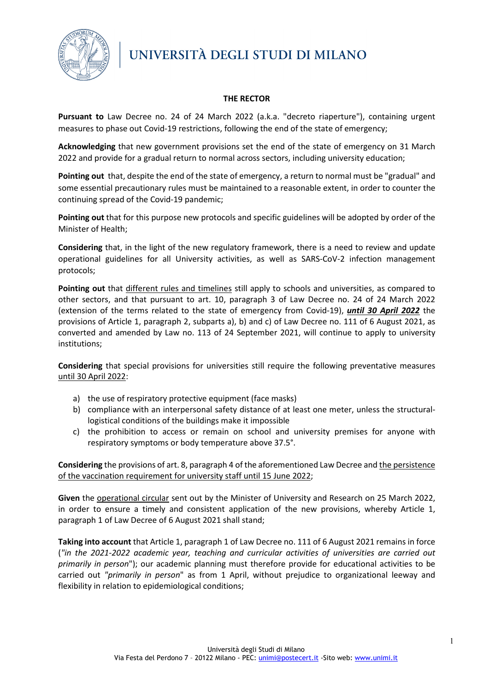

## **THE RECTOR**

**Pursuant to** Law Decree no. 24 of 24 March 2022 (a.k.a. "decreto riaperture"), containing urgent measures to phase out Covid-19 restrictions, following the end of the state of emergency;

**Acknowledging** that new government provisions set the end of the state of emergency on 31 March 2022 and provide for a gradual return to normal across sectors, including university education;

**Pointing out** that, despite the end of the state of emergency, a return to normal must be "gradual" and some essential precautionary rules must be maintained to a reasonable extent, in order to counter the continuing spread of the Covid-19 pandemic;

**Pointing out** that for this purpose new protocols and specific guidelines will be adopted by order of the Minister of Health;

**Considering** that, in the light of the new regulatory framework, there is a need to review and update operational guidelines for all University activities, as well as SARS-CoV-2 infection management protocols;

**Pointing out** that different rules and timelines still apply to schools and universities, as compared to other sectors, and that pursuant to art. 10, paragraph 3 of Law Decree no. 24 of 24 March 2022 (extension of the terms related to the state of emergency from Covid-19), *until 30 April 2022* the provisions of Article 1, paragraph 2, subparts a), b) and c) of Law Decree no. 111 of 6 August 2021, as converted and amended by Law no. 113 of 24 September 2021, will continue to apply to university institutions;

**Considering** that special provisions for universities still require the following preventative measures until 30 April 2022:

- a) the use of respiratory protective equipment (face masks)
- b) compliance with an interpersonal safety distance of at least one meter, unless the structurallogistical conditions of the buildings make it impossible
- c) the prohibition to access or remain on school and university premises for anyone with respiratory symptoms or body temperature above 37.5°.

**Considering** the provisions of art. 8, paragraph 4 of the aforementioned Law Decree and the persistence of the vaccination requirement for university staff until 15 June 2022;

**Given** the operational circular sent out by the Minister of University and Research on 25 March 2022, in order to ensure a timely and consistent application of the new provisions, whereby Article 1, paragraph 1 of Law Decree of 6 August 2021 shall stand;

Taking into account that Article 1, paragraph 1 of Law Decree no. 111 of 6 August 2021 remains in force (*"in the 2021-2022 academic year, teaching and curricular activities of universities are carried out primarily in person*"); our academic planning must therefore provide for educational activities to be carried out *"primarily in person*" as from 1 April, without prejudice to organizational leeway and flexibility in relation to epidemiological conditions;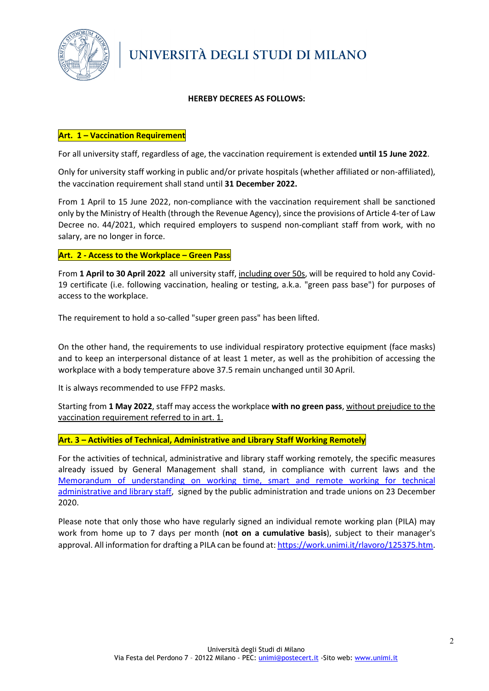

## **HEREBY DECREES AS FOLLOWS:**

### **Art. 1 – Vaccination Requirement**

For all university staff, regardless of age, the vaccination requirement is extended **until 15 June 2022**.

Only for university staff working in public and/or private hospitals (whether affiliated or non-affiliated), the vaccination requirement shall stand until **31 December 2022.**

From 1 April to 15 June 2022, non-compliance with the vaccination requirement shall be sanctioned only by the Ministry of Health (through the Revenue Agency), since the provisions of Article 4-ter of Law Decree no. 44/2021, which required employers to suspend non-compliant staff from work, with no salary, are no longer in force.

### **Art. 2 - Access to the Workplace – Green Pass**

From **1 April to 30 April 2022** all university staff, including over 50s, will be required to hold any Covid-19 certificate (i.e. following vaccination, healing or testing, a.k.a. "green pass base") for purposes of access to the workplace.

The requirement to hold a so-called "super green pass" has been lifted.

On the other hand, the requirements to use individual respiratory protective equipment (face masks) and to keep an interpersonal distance of at least 1 meter, as well as the prohibition of accessing the workplace with a body temperature above 37.5 remain unchanged until 30 April.

It is always recommended to use FFP2 masks.

Starting from **1 May 2022**, staff may access the workplace **with no green pass**, without prejudice to the vaccination requirement referred to in art. 1.

**Art. 3 – Activities of Technical, Administrative and Library Staff Working Remotely**

For the activities of technical, administrative and library staff working remotely, the specific measures already issued by General Management shall stand, in compliance with current laws and the [Memorandum of understanding on working time, smart and remote working for technical](https://work.unimi.it/filepub/welfare/PROTOCOLLO%20DI%20INTESA_firmato%20digitalmente_20%2001%202021.pdf)  [administrative and library staff,](https://work.unimi.it/filepub/welfare/PROTOCOLLO%20DI%20INTESA_firmato%20digitalmente_20%2001%202021.pdf) signed by the public administration and trade unions on 23 December 2020.

Please note that only those who have regularly signed an individual remote working plan (PILA) may work from home up to 7 days per month (**not on a cumulative basis**), subject to their manager's approval. All information for drafting a PILA can be found at: [https://work.unimi.it/rlavoro/125375.htm.](https://work.unimi.it/rlavoro/125375.htm)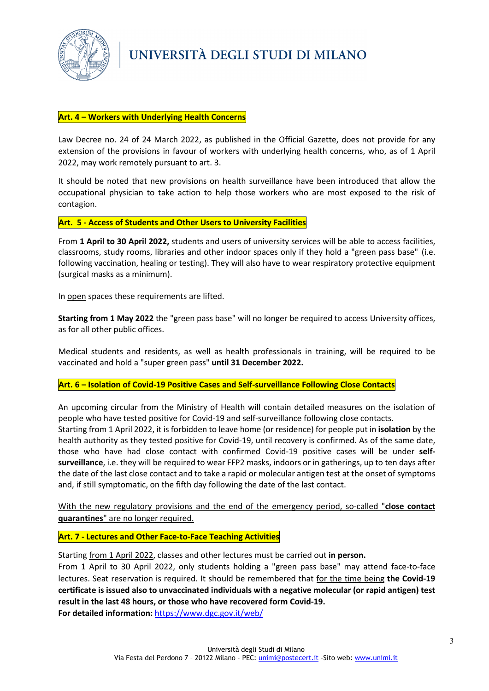

## **Art. 4 – Workers with Underlying Health Concerns**

Law Decree no. 24 of 24 March 2022, as published in the Official Gazette, does not provide for any extension of the provisions in favour of workers with underlying health concerns, who, as of 1 April 2022, may work remotely pursuant to art. 3.

It should be noted that new provisions on health surveillance have been introduced that allow the occupational physician to take action to help those workers who are most exposed to the risk of contagion.

**Art. 5 - Access of Students and Other Users to University Facilities**

From **1 April to 30 April 2022,** students and users of university services will be able to access facilities, classrooms, study rooms, libraries and other indoor spaces only if they hold a "green pass base" (i.e. following vaccination, healing or testing). They will also have to wear respiratory protective equipment (surgical masks as a minimum).

In open spaces these requirements are lifted.

**Starting from 1 May 2022** the "green pass base" will no longer be required to access University offices, as for all other public offices.

Medical students and residents, as well as health professionals in training, will be required to be vaccinated and hold a "super green pass" **until 31 December 2022.**

#### **Art. 6 – Isolation of Covid-19 Positive Cases and Self-surveillance Following Close Contacts**

An upcoming circular from the Ministry of Health will contain detailed measures on the isolation of people who have tested positive for Covid-19 and self-surveillance following close contacts.

Starting from 1 April 2022, it is forbidden to leave home (or residence) for people put in **isolation** by the health authority as they tested positive for Covid-19, until recovery is confirmed. As of the same date, those who have had close contact with confirmed Covid-19 positive cases will be under **selfsurveillance**, i.e. they will be required to wear FFP2 masks, indoors or in gatherings, up to ten days after the date of the last close contact and to take a rapid or molecular antigen test at the onset of symptoms and, if still symptomatic, on the fifth day following the date of the last contact.

With the new regulatory provisions and the end of the emergency period, so-called "**close contact quarantines**" are no longer required.

**Art. 7 - Lectures and Other Face-to-Face Teaching Activities**

Starting from 1 April 2022, classes and other lectures must be carried out **in person.** 

From 1 April to 30 April 2022, only students holding a "green pass base" may attend face-to-face lectures. Seat reservation is required. It should be remembered that for the time being **the Covid-19 certificate is issued also to unvaccinated individuals with a negative molecular (or rapid antigen) test result in the last 48 hours, or those who have recovered form Covid-19.**

**For detailed information:** <https://www.dgc.gov.it/web/>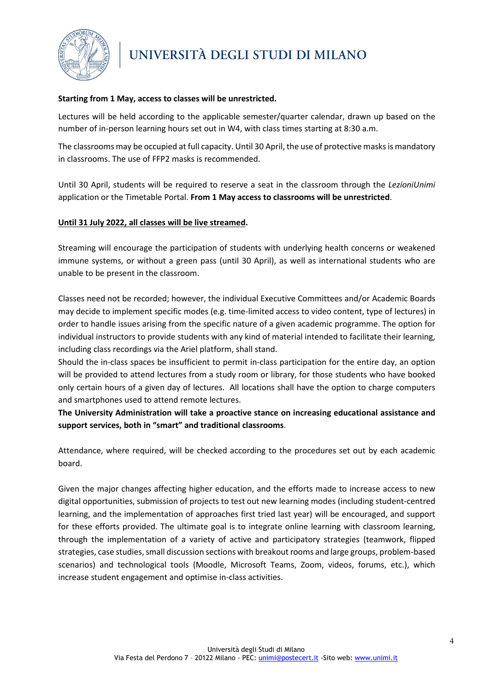

## **Starting from 1 May, access to classes will be unrestricted.**

Lectures will be held according to the applicable semester/quarter calendar, drawn up based on the number of in-person learning hours set out in W4, with class times starting at 8:30 a.m.

The classrooms may be occupied at full capacity. Until 30 April, the use of protective masks is mandatory in classrooms. The use of FFP2 masks is recommended.

Until 30 April, students will be required to reserve a seat in the classroom through the *LezioniUnimi* application or the Timetable Portal. **From 1 May access to classrooms will be unrestricted**.

#### **Until 31 July 2022, all classes will be live streamed.**

Streaming will encourage the participation of students with underlying health concerns or weakened immune systems, or without a green pass (until 30 April), as well as international students who are unable to be present in the classroom.

Classes need not be recorded; however, the individual Executive Committees and/or Academic Boards may decide to implement specific modes (e.g. time-limited access to video content, type of lectures) in order to handle issues arising from the specific nature of a given academic programme. The option for individual instructors to provide students with any kind of material intended to facilitate their learning, including class recordings via the Ariel platform, shall stand.

Should the in-class spaces be insufficient to permit in-class participation for the entire day, an option will be provided to attend lectures from a study room or library, for those students who have booked only certain hours of a given day of lectures. All locations shall have the option to charge computers and smartphones used to attend remote lectures.

**The University Administration will take a proactive stance on increasing educational assistance and support services, both in "smart" and traditional classrooms**.

Attendance, where required, will be checked according to the procedures set out by each academic board.

Given the major changes affecting higher education, and the efforts made to increase access to new digital opportunities, submission of projects to test out new learning modes (including student-centred learning, and the implementation of approaches first tried last year) will be encouraged, and support for these efforts provided. The ultimate goal is to integrate online learning with classroom learning, through the implementation of a variety of active and participatory strategies (teamwork, flipped strategies, case studies, small discussion sections with breakout rooms and large groups, problem-based scenarios) and technological tools (Moodle, Microsoft Teams, Zoom, videos, forums, etc.), which increase student engagement and optimise in-class activities.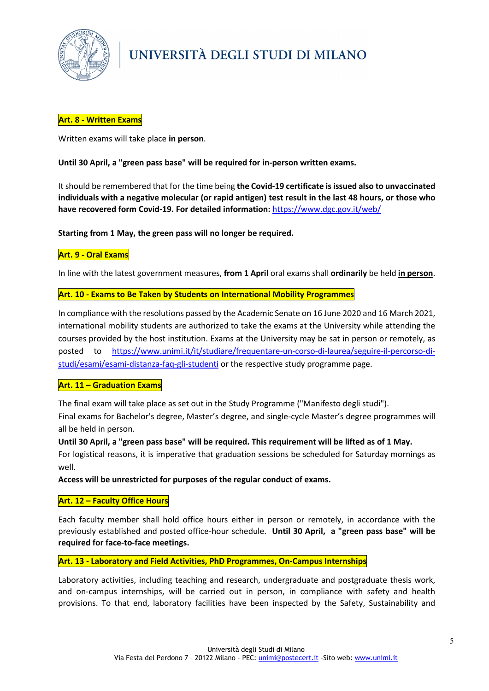

## **Art. 8 - Written Exams**

Written exams will take place **in person**.

### **Until 30 April, a "green pass base" will be required for in-person written exams.**

It should be remembered that for the time being **the Covid-19 certificate is issued also to unvaccinated individuals with a negative molecular (or rapid antigen) test result in the last 48 hours, or those who have recovered form Covid-19. For detailed information:** <https://www.dgc.gov.it/web/>

**Starting from 1 May, the green pass will no longer be required.**

## **Art. 9 - Oral Exams**

In line with the latest government measures, **from 1 April** oral exams shall **ordinarily** be held **in person**.

### **Art. 10 - Exams to Be Taken by Students on International Mobility Programmes**

In compliance with the resolutions passed by the Academic Senate on 16 June 2020 and 16 March 2021, international mobility students are authorized to take the exams at the University while attending the courses provided by the host institution. Exams at the University may be sat in person or remotely, as posted to [https://www.unimi.it/it/studiare/frequentare-un-corso-di-laurea/seguire-il-percorso-di](https://www.unimi.it/it/studiare/frequentare-un-corso-di-laurea/seguire-il-percorso-di-studi/esami/esami-distanza-faq-gli-studenti)[studi/esami/esami-distanza-faq-gli-studenti](https://www.unimi.it/it/studiare/frequentare-un-corso-di-laurea/seguire-il-percorso-di-studi/esami/esami-distanza-faq-gli-studenti) or the respective study programme page.

## **Art. 11 – Graduation Exams**

The final exam will take place as set out in the Study Programme ("Manifesto degli studi").

Final exams for Bachelor's degree, Master's degree, and single-cycle Master's degree programmes will all be held in person.

**Until 30 April, a "green pass base" will be required. This requirement will be lifted as of 1 May.**

For logistical reasons, it is imperative that graduation sessions be scheduled for Saturday mornings as well.

**Access will be unrestricted for purposes of the regular conduct of exams.**

#### **Art. 12 – Faculty Office Hours**

Each faculty member shall hold office hours either in person or remotely, in accordance with the previously established and posted office-hour schedule. **Until 30 April, a "green pass base" will be required for face-to-face meetings.**

#### **Art. 13 - Laboratory and Field Activities, PhD Programmes, On-Campus Internships**

Laboratory activities, including teaching and research, undergraduate and postgraduate thesis work, and on-campus internships, will be carried out in person, in compliance with safety and health provisions. To that end, laboratory facilities have been inspected by the Safety, Sustainability and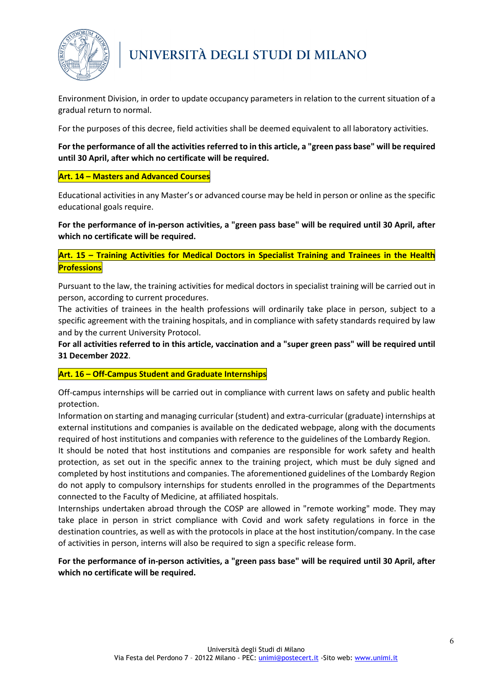

Environment Division, in order to update occupancy parameters in relation to the current situation of a gradual return to normal.

For the purposes of this decree, field activities shall be deemed equivalent to all laboratory activities.

## **For the performance of all the activities referred to in this article, a "green pass base" will be required until 30 April, after which no certificate will be required.**

## **Art. 14 – Masters and Advanced Courses**

Educational activities in any Master's or advanced course may be held in person or online as the specific educational goals require.

**For the performance of in-person activities, a "green pass base" will be required until 30 April, after which no certificate will be required.**

## **Art. 15 – Training Activities for Medical Doctors in Specialist Training and Trainees in the Health Professions**

Pursuant to the law, the training activities for medical doctors in specialist training will be carried out in person, according to current procedures.

The activities of trainees in the health professions will ordinarily take place in person, subject to a specific agreement with the training hospitals, and in compliance with safety standards required by law and by the current University Protocol.

**For all activities referred to in this article, vaccination and a "super green pass" will be required until 31 December 2022**.

## **Art. 16 – Off-Campus Student and Graduate Internships**

Off-campus internships will be carried out in compliance with current laws on safety and public health protection.

Information on starting and managing curricular (student) and extra-curricular (graduate) internships at external institutions and companies is available on the dedicated webpage, along with the documents required of host institutions and companies with reference to the guidelines of the Lombardy Region.

It should be noted that host institutions and companies are responsible for work safety and health protection, as set out in the specific annex to the training project, which must be duly signed and completed by host institutions and companies. The aforementioned guidelines of the Lombardy Region do not apply to compulsory internships for students enrolled in the programmes of the Departments connected to the Faculty of Medicine, at affiliated hospitals.

Internships undertaken abroad through the COSP are allowed in "remote working" mode. They may take place in person in strict compliance with Covid and work safety regulations in force in the destination countries, as well as with the protocols in place at the host institution/company. In the case of activities in person, interns will also be required to sign a specific release form.

## **For the performance of in-person activities, a "green pass base" will be required until 30 April, after which no certificate will be required.**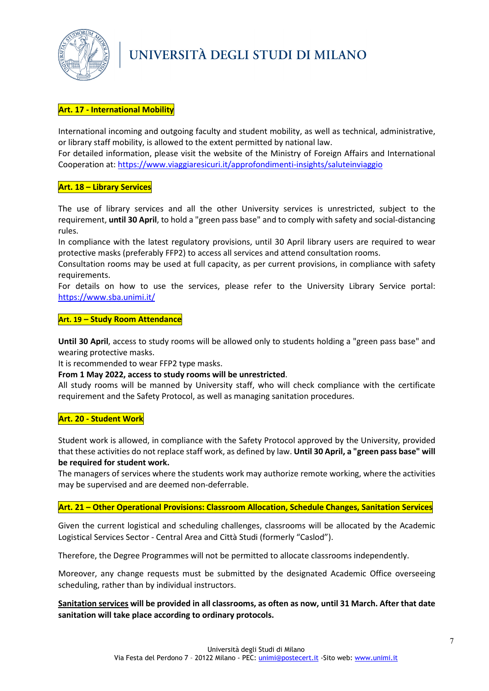

## **Art. 17 - International Mobility**

International incoming and outgoing faculty and student mobility, as well as technical, administrative, or library staff mobility, is allowed to the extent permitted by national law.

For detailed information, please visit the website of the Ministry of Foreign Affairs and International Cooperation at:<https://www.viaggiaresicuri.it/approfondimenti-insights/saluteinviaggio>

#### **Art. 18 – Library Services**

The use of library services and all the other University services is unrestricted, subject to the requirement, **until 30 April**, to hold a "green pass base" and to comply with safety and social-distancing rules.

In compliance with the latest regulatory provisions, until 30 April library users are required to wear protective masks (preferably FFP2) to access all services and attend consultation rooms.

Consultation rooms may be used at full capacity, as per current provisions, in compliance with safety requirements.

For details on how to use the services, please refer to the University Library Service portal[:](https://www.sba.unimi.it/) <https://www.sba.unimi.it/>

#### **Art. 19 – Study Room Attendance**

**Until 30 April**, access to study rooms will be allowed only to students holding a "green pass base" and wearing protective masks.

It is recommended to wear FFP2 type masks.

#### **From 1 May 2022, access to study rooms will be unrestricted**.

All study rooms will be manned by University staff, who will check compliance with the certificate requirement and the Safety Protocol, as well as managing sanitation procedures.

#### **Art. 20 - Student Work**

Student work is allowed, in compliance with the Safety Protocol approved by the University, provided that these activities do not replace staff work, as defined by law. **Until 30 April, a "green pass base" will be required for student work.**

The managers of services where the students work may authorize remote working, where the activities may be supervised and are deemed non-deferrable.

### **Art. 21 – Other Operational Provisions: Classroom Allocation, Schedule Changes, Sanitation Services**

Given the current logistical and scheduling challenges, classrooms will be allocated by the Academic Logistical Services Sector - Central Area and Città Studi (formerly "Caslod").

Therefore, the Degree Programmes will not be permitted to allocate classrooms independently.

Moreover, any change requests must be submitted by the designated Academic Office overseeing scheduling, rather than by individual instructors.

**Sanitation services will be provided in all classrooms, as often as now, until 31 March. After that date sanitation will take place according to ordinary protocols.**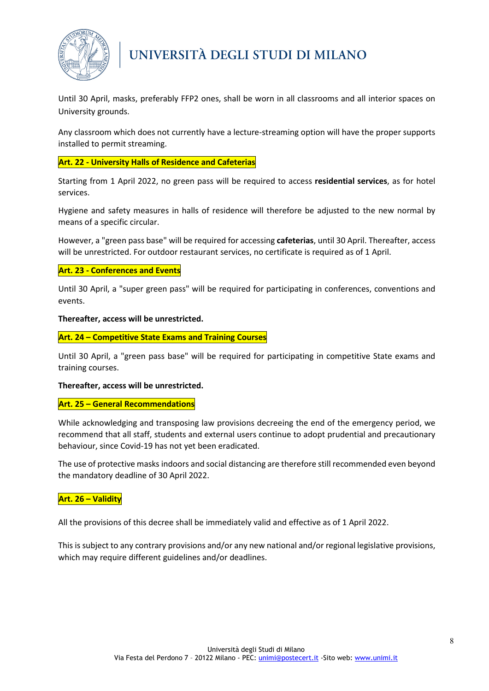

Until 30 April, masks, preferably FFP2 ones, shall be worn in all classrooms and all interior spaces on University grounds.

Any classroom which does not currently have a lecture-streaming option will have the proper supports installed to permit streaming.

## **Art. 22 - University Halls of Residence and Cafeterias**

Starting from 1 April 2022, no green pass will be required to access **residential services**, as for hotel services.

Hygiene and safety measures in halls of residence will therefore be adjusted to the new normal by means of a specific circular.

However, a "green pass base" will be required for accessing **cafeterias**, until 30 April. Thereafter, access will be unrestricted. For outdoor restaurant services, no certificate is required as of 1 April.

#### **Art. 23 - Conferences and Events**

Until 30 April, a "super green pass" will be required for participating in conferences, conventions and events.

#### **Thereafter, access will be unrestricted.**

#### **Art. 24 – Competitive State Exams and Training Courses**

Until 30 April, a "green pass base" will be required for participating in competitive State exams and training courses.

#### **Thereafter, access will be unrestricted.**

#### **Art. 25 – General Recommendations**

While acknowledging and transposing law provisions decreeing the end of the emergency period, we recommend that all staff, students and external users continue to adopt prudential and precautionary behaviour, since Covid-19 has not yet been eradicated.

The use of protective masks indoors and social distancing are therefore still recommended even beyond the mandatory deadline of 30 April 2022.

#### **Art. 26 – Validity**

All the provisions of this decree shall be immediately valid and effective as of 1 April 2022.

This is subject to any contrary provisions and/or any new national and/or regional legislative provisions, which may require different guidelines and/or deadlines.